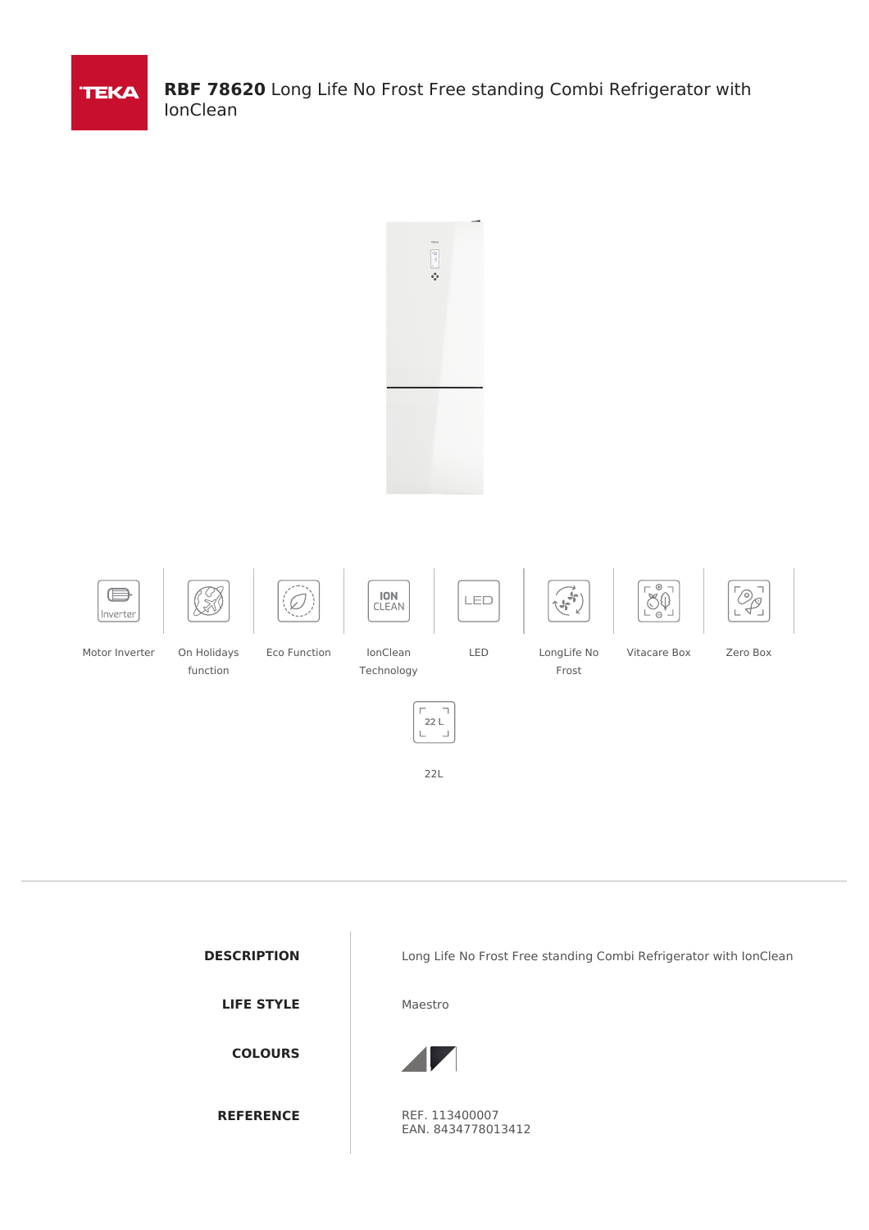

**RBF 78620** Long Life No Frost Free standing Combi Refrigerator with IonClean



















Motor Inverter On Holidays

function



LED LongLife No Frost

Vitacare Box Zero Box





22L

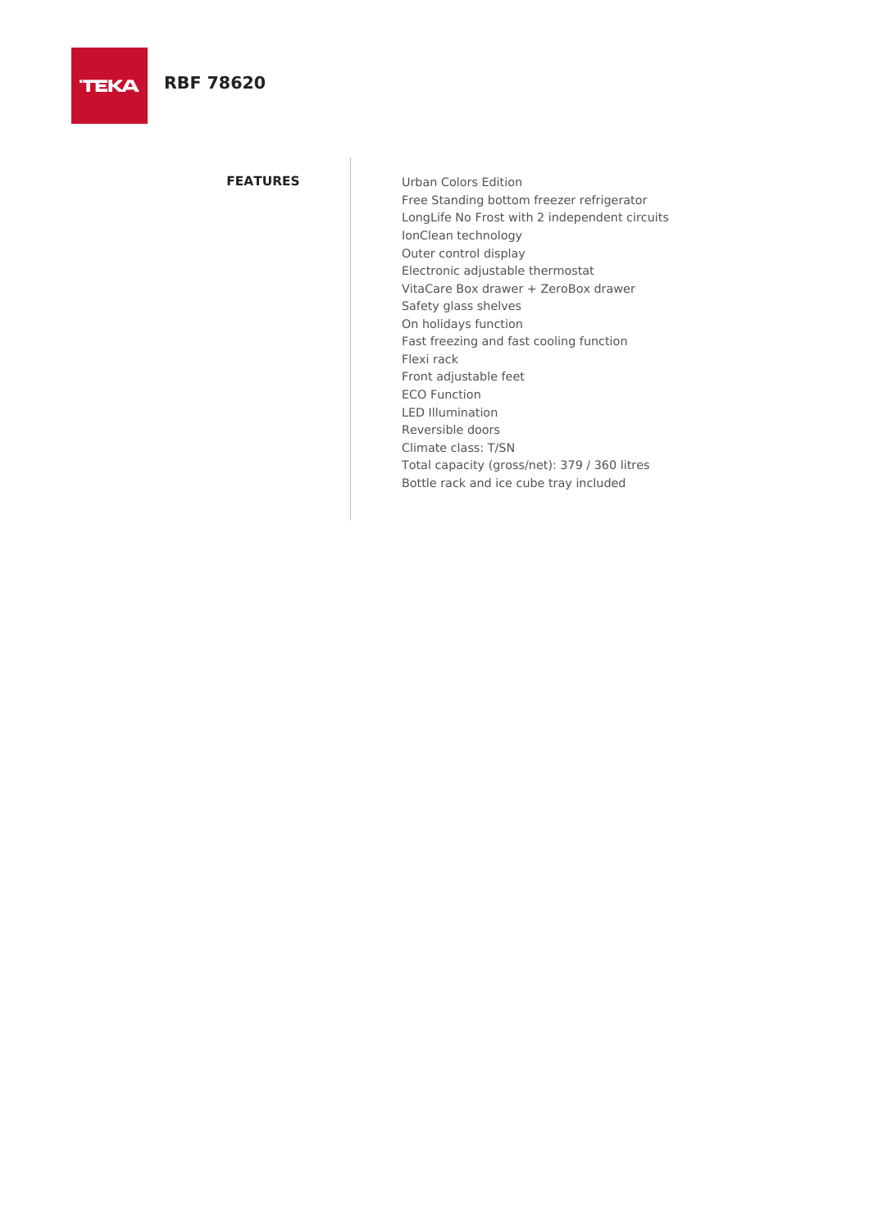# **RBF 78620**

**TEKA** 

**FEATURES** Urban Colors Edition Free Standing bottom freezer refrigerator LongLife No Frost with 2 independent circuits IonClean technology Outer control display Electronic adjustable thermostat VitaCare Box drawer + ZeroBox drawer Safety glass shelves On holidays function Fast freezing and fast cooling function Flexi rack Front adjustable feet ECO Function LED Illumination Reversible doors Climate class: T/SN Total capacity (gross/net): 379 / 360 litres Bottle rack and ice cube tray included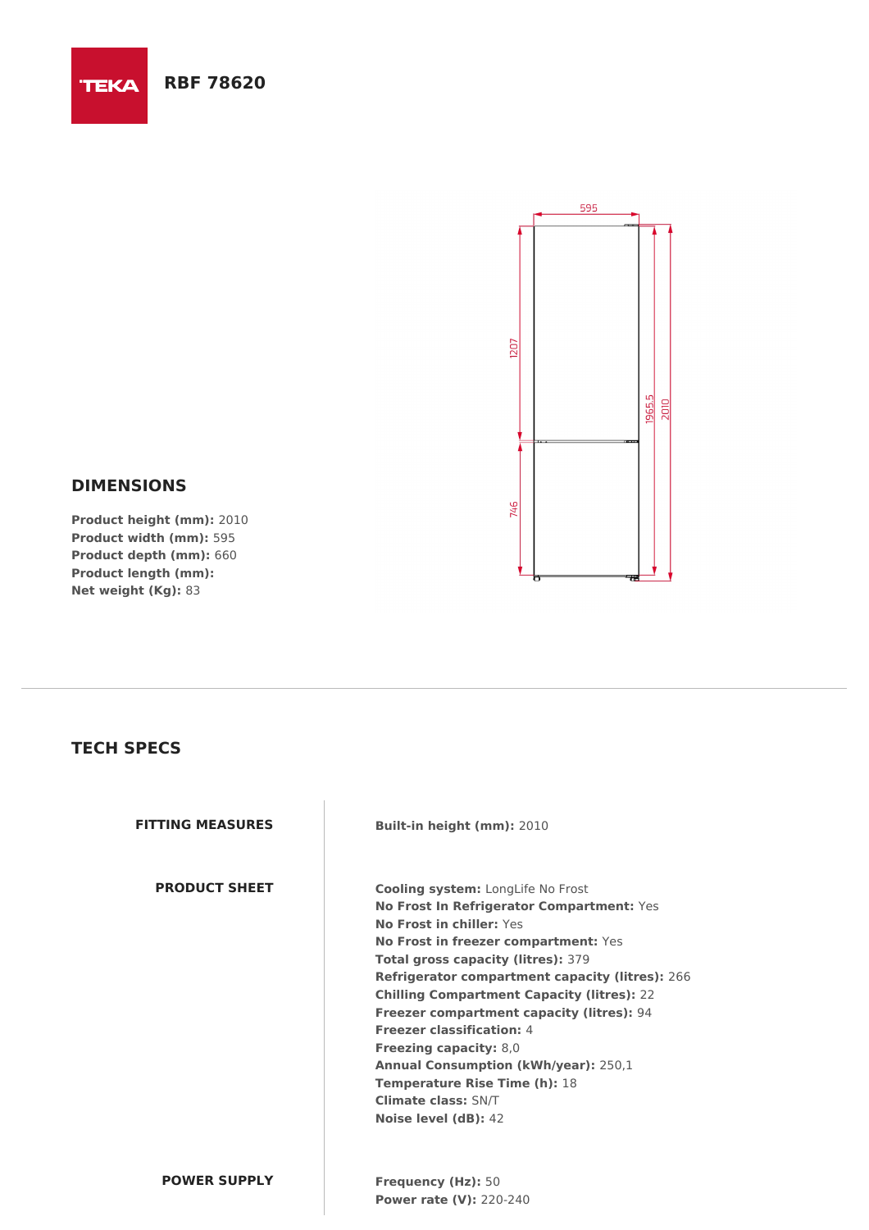### **RBF 78620**

**TEKA** 



### **DIMENSIONS**

**Product height (mm):** 2010 **Product width (mm):** 595 **Product depth (mm):** 660 **Product length (mm): Net weight (Kg):** 83

## **TECH SPECS**

**FITTING MEASURES Built-in height (mm):** 2010

**PRODUCT SHEET Cooling system:** LongLife No Frost **No Frost In Refrigerator Compartment:** Yes **No Frost in chiller:** Yes **No Frost in freezer compartment:** Yes **Total gross capacity (litres):** 379 **Refrigerator compartment capacity (litres):** 266 **Chilling Compartment Capacity (litres):** 22 **Freezer compartment capacity (litres):** 94 **Freezer classification:** 4 **Freezing capacity:** 8,0 **Annual Consumption (kWh/year):** 250,1 **Temperature Rise Time (h):** 18 **Climate class:** SN/T **Noise level (dB):** 42

**POWER SUPPLY Frequency (Hz):** 50 **Power rate (V):** 220-240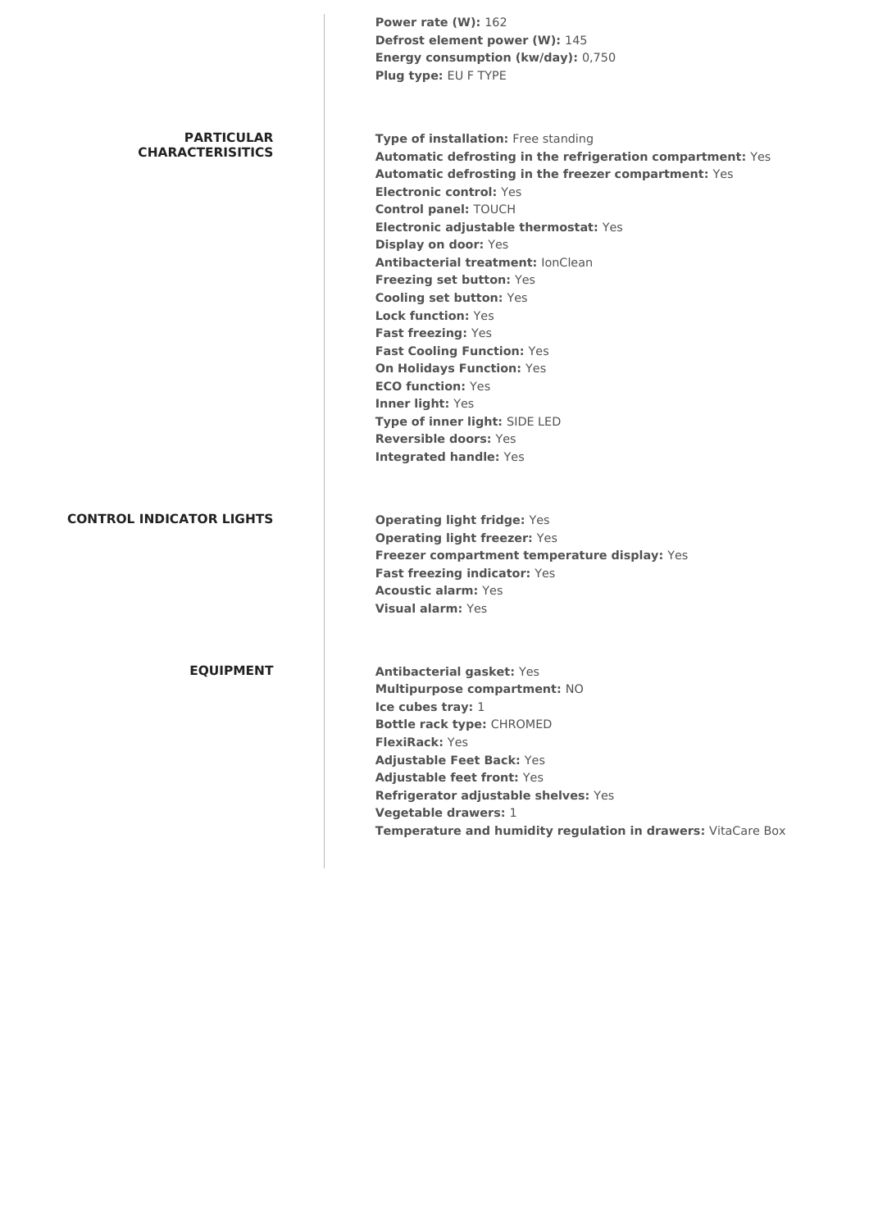|                                              | Power rate (W): 162<br>Defrost element power (W): 145<br>Energy consumption (kw/day): 0,750<br>Plug type: EU F TYPE                                                                                                                                                                                                                                                                                                                                                                                                                                                                                                                                                                        |
|----------------------------------------------|--------------------------------------------------------------------------------------------------------------------------------------------------------------------------------------------------------------------------------------------------------------------------------------------------------------------------------------------------------------------------------------------------------------------------------------------------------------------------------------------------------------------------------------------------------------------------------------------------------------------------------------------------------------------------------------------|
| <b>PARTICULAR</b><br><b>CHARACTERISITICS</b> | Type of installation: Free standing<br>Automatic defrosting in the refrigeration compartment: Yes<br>Automatic defrosting in the freezer compartment: Yes<br><b>Electronic control: Yes</b><br><b>Control panel: TOUCH</b><br>Electronic adjustable thermostat: Yes<br><b>Display on door: Yes</b><br><b>Antibacterial treatment: lonClean</b><br>Freezing set button: Yes<br><b>Cooling set button: Yes</b><br><b>Lock function: Yes</b><br>Fast freezing: Yes<br><b>Fast Cooling Function: Yes</b><br><b>On Holidays Function: Yes</b><br><b>ECO function: Yes</b><br>Inner light: Yes<br>Type of inner light: SIDE LED<br><b>Reversible doors: Yes</b><br><b>Integrated handle: Yes</b> |
| <b>CONTROL INDICATOR LIGHTS</b>              | <b>Operating light fridge: Yes</b><br><b>Operating light freezer: Yes</b><br>Freezer compartment temperature display: Yes<br>Fast freezing indicator: Yes<br><b>Acoustic alarm: Yes</b><br><b>Visual alarm: Yes</b>                                                                                                                                                                                                                                                                                                                                                                                                                                                                        |
| <b>EQUIPMENT</b>                             | <b>Antibacterial gasket: Yes</b><br>Multipurpose compartment: NO<br>Ice cubes tray: 1<br><b>Bottle rack type: CHROMED</b><br><b>FlexiRack: Yes</b><br><b>Adjustable Feet Back: Yes</b><br><b>Adjustable feet front: Yes</b><br>Refrigerator adjustable shelves: Yes<br>Vegetable drawers: 1<br>Temperature and humidity regulation in drawers: VitaCare Box                                                                                                                                                                                                                                                                                                                                |